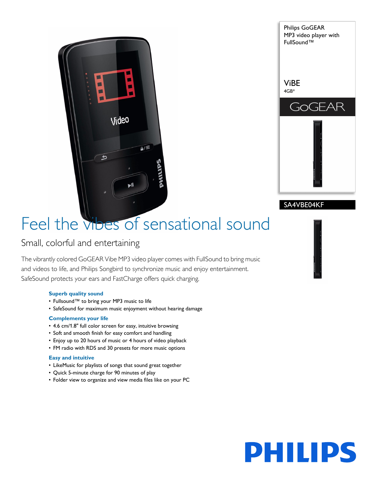



# Feel the vibes of sensational sound

### Small, colorful and entertaining

The vibrantly colored GoGEAR Vibe MP3 video player comes with FullSound to bring music and videos to life, and Philips Songbird to synchronize music and enjoy entertainment. SafeSound protects your ears and FastCharge offers quick charging.

#### **Superb quality sound**

- Fullsound™ to bring your MP3 music to life
- SafeSound for maximum music enjoyment without hearing damage

#### **Complements your life**

- 4.6 cm/1.8" full color screen for easy, intuitive browsing
- Soft and smooth finish for easy comfort and handling
- Enjoy up to 20 hours of music or 4 hours of video playback
- FM radio with RDS and 30 presets for more music options

#### **Easy and intuitive**

- LikeMusic for playlists of songs that sound great together
- Quick 5-minute charge for 90 minutes of play
- Folder view to organize and view media files like on your PC

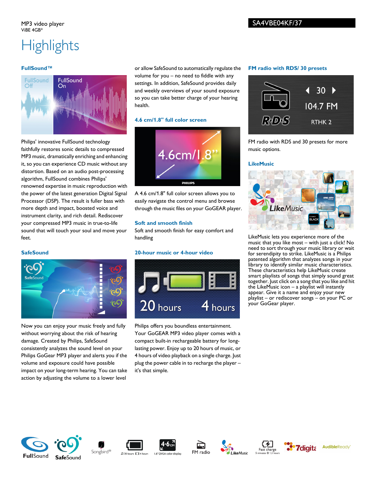## **Highlights**

#### **FullSound™**



Philips' innovative FullSound technology faithfully restores sonic details to compressed MP3 music, dramatically enriching and enhancing it, so you can experience CD music without any distortion. Based on an audio post-processing algorithm, FullSound combines Philips' renowned expertise in music reproduction with the power of the latest generation Digital Signal Processor (DSP). The result is fuller bass with more depth and impact, boosted voice and instrument clarity, and rich detail. Rediscover your compressed MP3 music in true-to-life sound that will touch your soul and move your feet.

#### **SafeSound**



Now you can enjoy your music freely and fully without worrying about the risk of hearing damage. Created by Philips, SafeSound consistently analyzes the sound level on your Philips GoGear MP3 player and alerts you if the volume and exposure could have possible impact on your long-term hearing. You can take action by adjusting the volume to a lower level

or allow SafeSound to automatically regulate the volume for you – no need to fiddle with any settings. In addition, SafeSound provides daily and weekly overviews of your sound exposure so you can take better charge of your hearing health.

#### **4.6 cm/1.8" full color screen**



A 4.6 cm/1.8" full color screen allows you to easily navigate the control menu and browse through the music files on your GoGEAR player.

#### **Soft and smooth finish**

Soft and smooth finish for easy comfort and handling

#### **20-hour music or 4-hour video**



Philips offers you boundless entertainment. Your GoGEAR MP3 video player comes with a compact built-in rechargeable battery for longlasting power. Enjoy up to 20 hours of music, or 4 hours of video playback on a single charge. Just plug the power cable in to recharge the player – it's that simple.

#### **FM radio with RDS/ 30 presets**



FM radio with RDS and 30 presets for more music options.

#### **LikeMusic**



LikeMusic lets you experience more of the music that you like most – with just a click! No need to sort through your music library or wait for serendipity to strike. LikeMusic is a Philips patented algorithm that analyzes songs in your library to identify similar music characteristics. These characteristics help LikeMusic create smart playlists of songs that simply sound great together. Just click on a song that you like and hit the LikeMusic icon – a playlist will instantly appear. Give it a name and enjoy your new playlist – or rediscover songs – on your PC or your GoGear player.